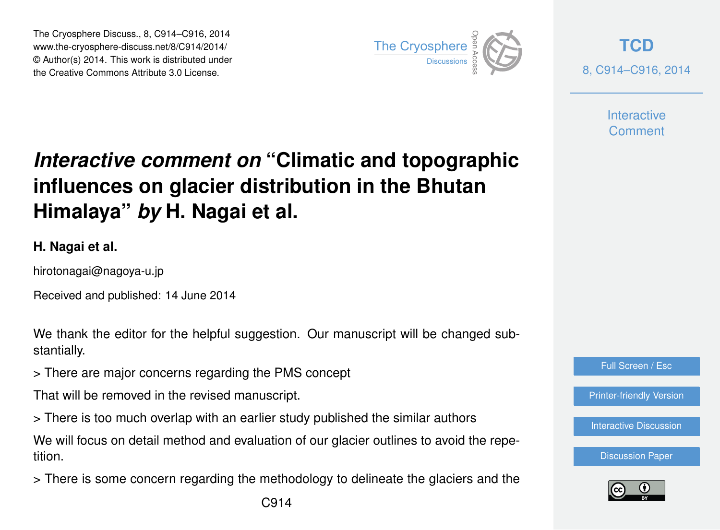The Cryosphere Discuss., 8, C914–C916, 2014 www.the-cryosphere-discuss.net/8/C914/2014/ © Author(s) 2014. This work is distributed under The Cryosphere Discuss., 8, C914–C916, 2014<br>
www.the-cryosphere-discuss.net/8/C914/2014/<br>
© Author(s) 2014. This work is distributed under<br>
the Creative Commons Attribute 3.0 License.



**[TCD](http://www.the-cryosphere-discuss.net)** 8, C914–C916, 2014

> **Interactive Comment**

## *Interactive comment on* **"Climatic and topographic influences on glacier distribution in the Bhutan Himalaya"** *by* **H. Nagai et al.**

## **H. Nagai et al.**

hirotonagai@nagoya-u.jp

Received and published: 14 June 2014

We thank the editor for the helpful suggestion. Our manuscript will be changed substantially.

> There are major concerns regarding the PMS concept

That will be removed in the revised manuscript.

> There is too much overlap with an earlier study published the similar authors

We will focus on detail method and evaluation of our glacier outlines to avoid the repetition.

> There is some concern regarding the methodology to delineate the glaciers and the



[Printer-friendly Version](http://www.the-cryosphere-discuss.net/8/C914/2014/tcd-8-C914-2014-print.pdf)

[Interactive Discussion](http://www.the-cryosphere-discuss.net/8/1305/2014/tcd-8-1305-2014-discussion.html)

[Discussion Paper](http://www.the-cryosphere-discuss.net/8/1305/2014/tcd-8-1305-2014.pdf)

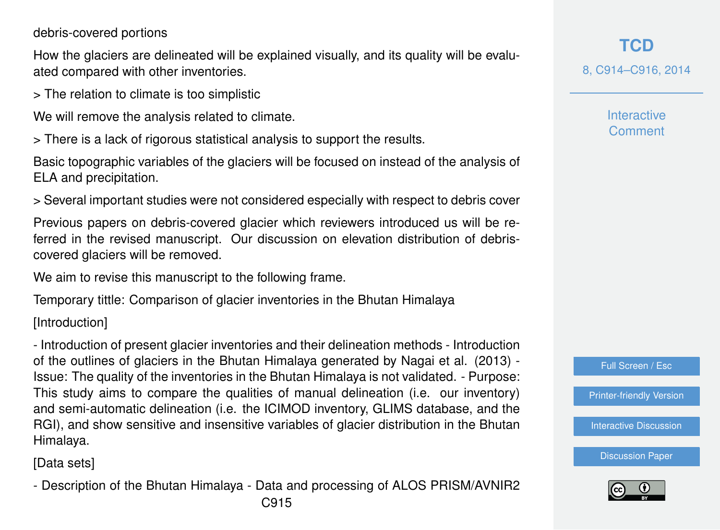## debris-covered portions

How the glaciers are delineated will be explained visually, and its quality will be evaluated compared with other inventories.

> The relation to climate is too simplistic

We will remove the analysis related to climate.

> There is a lack of rigorous statistical analysis to support the results.

Basic topographic variables of the glaciers will be focused on instead of the analysis of ELA and precipitation.

> Several important studies were not considered especially with respect to debris cover

Previous papers on debris-covered glacier which reviewers introduced us will be referred in the revised manuscript. Our discussion on elevation distribution of debriscovered glaciers will be removed.

We aim to revise this manuscript to the following frame.

Temporary tittle: Comparison of glacier inventories in the Bhutan Himalaya

[Introduction]

- Introduction of present glacier inventories and their delineation methods - Introduction of the outlines of glaciers in the Bhutan Himalaya generated by Nagai et al. (2013) - Issue: The quality of the inventories in the Bhutan Himalaya is not validated. - Purpose: This study aims to compare the qualities of manual delineation (i.e. our inventory) and semi-automatic delineation (i.e. the ICIMOD inventory, GLIMS database, and the RGI), and show sensitive and insensitive variables of glacier distribution in the Bhutan Himalaya.

[Data sets]

- Description of the Bhutan Himalaya - Data and processing of ALOS PRISM/AVNIR2

**Interactive Comment** 



[Printer-friendly Version](http://www.the-cryosphere-discuss.net/8/C914/2014/tcd-8-C914-2014-print.pdf)

**[Interactive Discussion](http://www.the-cryosphere-discuss.net/8/1305/2014/tcd-8-1305-2014-discussion.html)** 

[Discussion Paper](http://www.the-cryosphere-discuss.net/8/1305/2014/tcd-8-1305-2014.pdf)